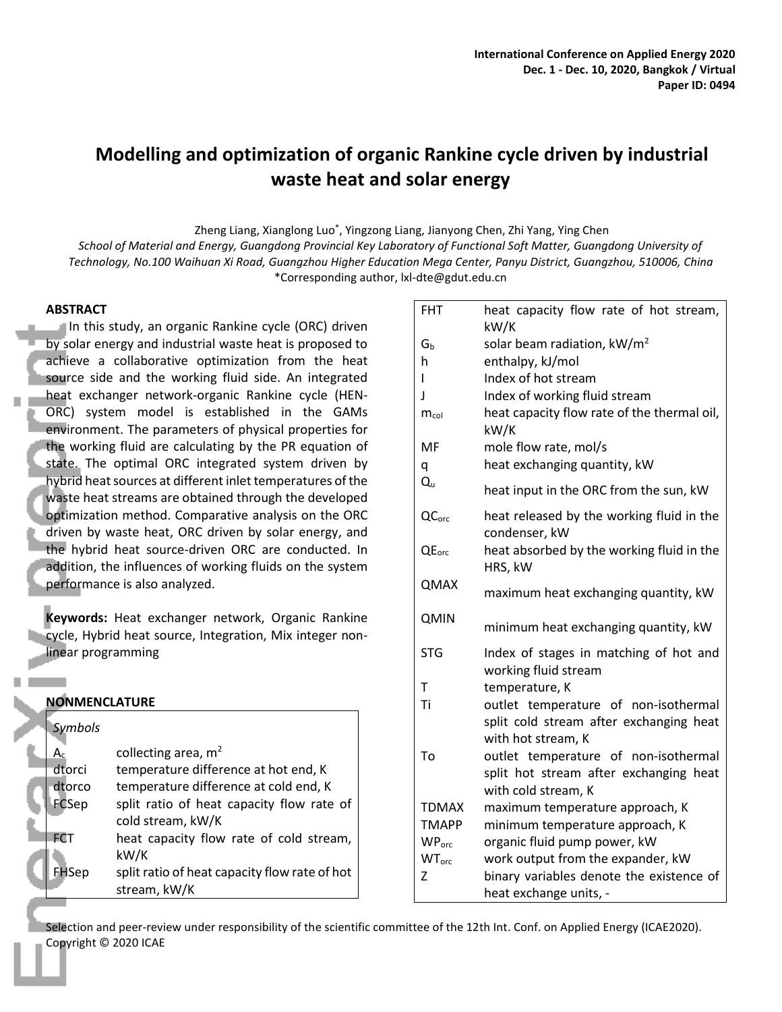# **Modelling and optimization of organic Rankine cycle driven by industrial waste heat and solar energy**

Zheng Liang, Xianglong Luo<sup>\*</sup>, Yingzong Liang, Jianyong Chen, Zhi Yang, Ying Chen

*School of Material and Energy, Guangdong Provincial Key Laboratory of Functional Soft Matter, Guangdong University of Technology, No.100 Waihuan Xi Road, Guangzhou Higher Education Mega Center, Panyu District, Guangzhou, 510006, China* \*Corresponding author, lxl-dte@gdut.edu.cn

## **ABSTRACT**

In this study, an organic Rankine cycle (ORC) driven by solar energy and industrial waste heat is proposed to achieve a collaborative optimization from the heat source side and the working fluid side. An integrated heat exchanger network-organic Rankine cycle (HEN-ORC) system model is established in the GAMs environment. The parameters of physical properties for the working fluid are calculating by the PR equation of state. The optimal ORC integrated system driven by hybrid heat sources at different inlet temperatures of the waste heat streams are obtained through the developed optimization method. Comparative analysis on the ORC driven by waste heat, ORC driven by solar energy, and the hybrid heat source-driven ORC are conducted. In addition, the influences of working fluids on the system performance is also analyzed.

**Keywords:** Heat exchanger network, Organic Rankine **Cycle, Hybrid heat source, Integration, Mix integer non**linear programming

| <b>NONMENCLATURE</b> |                                               |  |  |  |  |
|----------------------|-----------------------------------------------|--|--|--|--|
| <b>Symbols</b>       |                                               |  |  |  |  |
| $A_c$                | collecting area, $m2$                         |  |  |  |  |
| dtorci               | temperature difference at hot end, K          |  |  |  |  |
| dtorco               | temperature difference at cold end, K         |  |  |  |  |
| FCSep                | split ratio of heat capacity flow rate of     |  |  |  |  |
|                      | cold stream, kW/K                             |  |  |  |  |
| <b>FCT</b>           | heat capacity flow rate of cold stream,       |  |  |  |  |
|                      | kW/K                                          |  |  |  |  |
| sep                  | split ratio of heat capacity flow rate of hot |  |  |  |  |
|                      | stream, kW/K                                  |  |  |  |  |

| <b>FHT</b>               | heat capacity flow rate of hot stream,                         |
|--------------------------|----------------------------------------------------------------|
|                          | kW/K                                                           |
| Gь                       | solar beam radiation, $kW/m^2$                                 |
| h                        | enthalpy, kJ/mol                                               |
| L                        | Index of hot stream                                            |
| J                        | Index of working fluid stream                                  |
| $m_{col}$                | heat capacity flow rate of the thermal oil,<br>kW/K            |
| MF                       | mole flow rate, mol/s                                          |
| q                        | heat exchanging quantity, kW                                   |
| $Q_{u}$                  | heat input in the ORC from the sun, kW                         |
| QC <sub>orc</sub>        | heat released by the working fluid in the<br>condenser, kW     |
| QE <sub>orc</sub>        | heat absorbed by the working fluid in the<br>HRS, kW           |
| QMAX                     | maximum heat exchanging quantity, kW                           |
| <b>QMIN</b>              | minimum heat exchanging quantity, kW                           |
| <b>STG</b>               | Index of stages in matching of hot and<br>working fluid stream |
| т                        | temperature, K                                                 |
| Ti                       | outlet temperature of non-isothermal                           |
|                          | split cold stream after exchanging heat                        |
|                          | with hot stream, K                                             |
| To                       | outlet temperature of non-isothermal                           |
|                          | split hot stream after exchanging heat                         |
|                          | with cold stream, K                                            |
| <b>TDMAX</b>             | maximum temperature approach, K                                |
| <b>TMAPP</b>             | minimum temperature approach, K                                |
| WP <sub>orc</sub>        | organic fluid pump power, kW                                   |
| <b>WT</b> <sub>orc</sub> | work output from the expander, kW                              |
| Z                        | binary variables denote the existence of                       |
|                          | heat exchange units, -                                         |

Selection and peer-review under responsibility of the scientific committee of the 12th Int. Conf. on Applied Energy (ICAE2020). Copyright © 2020 ICAE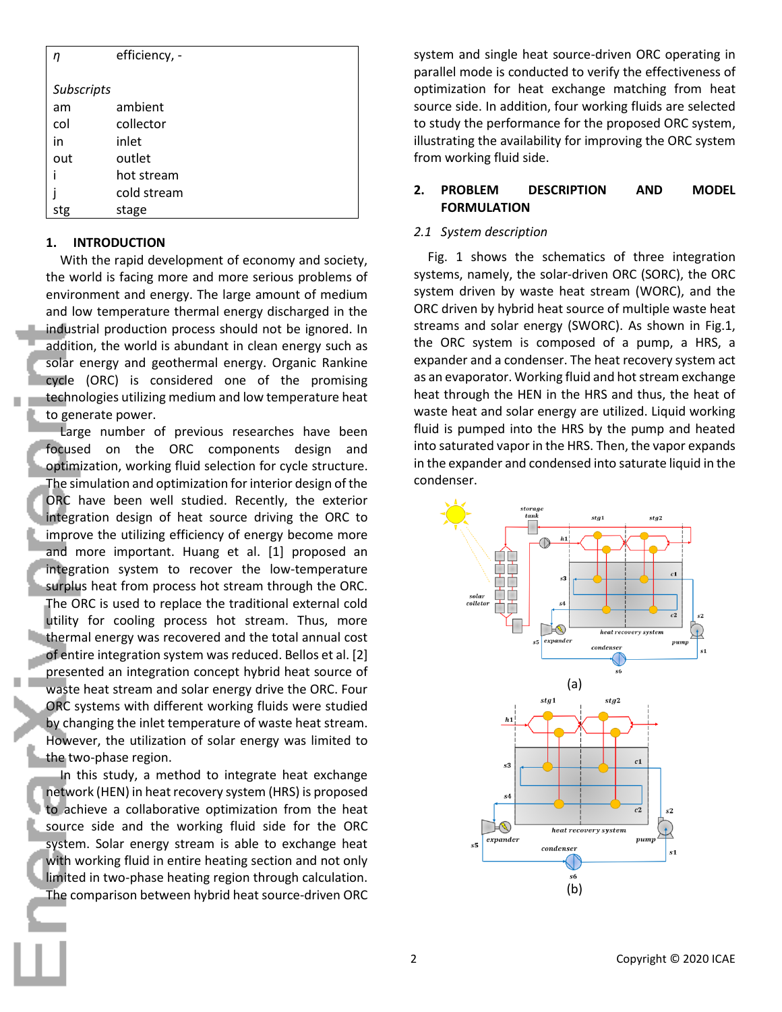| η          | efficiency, - |
|------------|---------------|
|            |               |
| Subscripts |               |
| am         | ambient       |
| col        | collector     |
| in         | inlet         |
| out        | outlet        |
| i          | hot stream    |
|            | cold stream   |
| stg        | stage         |

## **1. INTRODUCTION**

With the rapid development of economy and society, the world is facing more and more serious problems of environment and energy. The large amount of medium and low temperature thermal energy discharged in the industrial production process should not be ignored. In addition, the world is abundant in clean energy such as solar energy and geothermal energy. Organic Rankine cycle (ORC) is considered one of the promising technologies utilizing medium and low temperature heat to generate power.

Large number of previous researches have been focused on the ORC components design and optimization, working fluid selection for cycle structure. The simulation and optimization for interior design of the ORC have been well studied. Recently, the exterior integration design of heat source driving the ORC to improve the utilizing efficiency of energy become more and more important. Huang et al. [1] proposed an integration system to recover the low-temperature surplus heat from process hot stream through the ORC. The ORC is used to replace the traditional external cold utility for cooling process hot stream. Thus, more thermal energy was recovered and the total annual cost of entire integration system was reduced. Bellos et al. [2] presented an integration concept hybrid heat source of waste heat stream and solar energy drive the ORC. Four ORC systems with different working fluids were studied by changing the inlet temperature of waste heat stream. However, the utilization of solar energy was limited to the two-phase region.

 In this study, a method to integrate heat exchange network (HEN) in heat recovery system (HRS) is proposed to achieve a collaborative optimization from the heat source side and the working fluid side for the ORC system. Solar energy stream is able to exchange heat with working fluid in entire heating section and not only limited in two-phase heating region through calculation. The comparison between hybrid heat source-driven ORC system and single heat source-driven ORC operating in parallel mode is conducted to verify the effectiveness of optimization for heat exchange matching from heat source side. In addition, four working fluids are selected to study the performance for the proposed ORC system, illustrating the availability for improving the ORC system from working fluid side.

## **2. PROBLEM DESCRIPTION AND MODEL FORMULATION**

## *2.1 System description*

Fig. 1 shows the schematics of three integration systems, namely, the solar-driven ORC (SORC), the ORC system driven by waste heat stream (WORC), and the ORC driven by hybrid heat source of multiple waste heat streams and solar energy (SWORC). As shown in Fig.1, the ORC system is composed of a pump, a HRS, a expander and a condenser. The heat recovery system act as an evaporator. Working fluid and hot stream exchange heat through the HEN in the HRS and thus, the heat of waste heat and solar energy are utilized. Liquid working fluid is pumped into the HRS by the pump and heated into saturated vapor in the HRS. Then, the vapor expands in the expander and condensed into saturate liquid in the condenser.

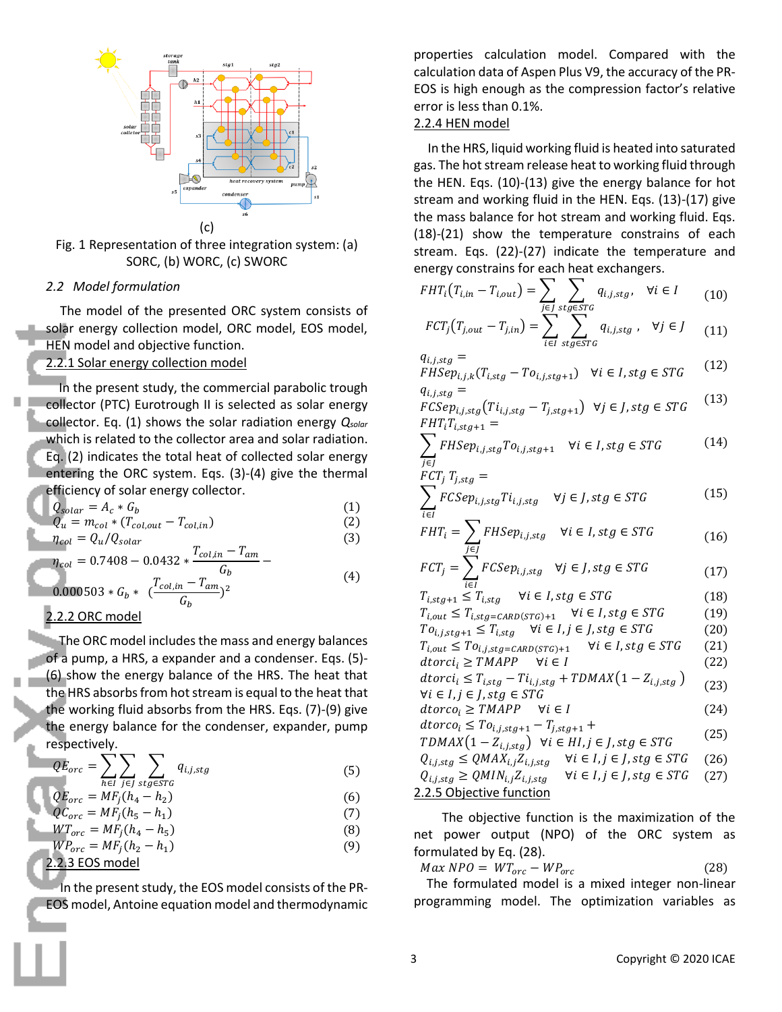

Fig. 1 Representation of three integration system: (a) SORC, (b) WORC, (c) SWORC

## *2.2 Model formulation*

The model of the presented ORC system consists of solar energy collection model, ORC model, EOS model, HEN model and objective function.

2.2.1 Solar energy collection model

In the present study, the commercial parabolic trough collector (PTC) Eurotrough II is selected as solar energy collector. Eq. (1) shows the solar radiation energy *Qsolar* which is related to the collector area and solar radiation. Eq. (2) indicates the total heat of collected solar energy entering the ORC system. Eqs. (3)-(4) give the thermal efficiency of solar energy collector.

$$
\begin{aligned}\n\boxed{Q_{solar} = A_c * G_b} \\
\boxed{Q_u = m_{col} * (T_{col,out} - T_{col,in})}\n\end{aligned} \tag{1}
$$

$$
\eta_{col} = Q_u / Q_{solar} \tag{3}
$$

$$
\eta_{col} = 0.7408 - 0.0432 * \frac{T_{col,in} - T_{am}}{G_b} - 0.000503 * G_b * \frac{T_{col,in} - T_{am}}{G_b} \tag{4}
$$

0.000503 \*  $G_b$  \*  $\frac{T_{col,in} - T_{am}}{C}$  $G_b$ 

## 2.2.2 ORC model

The ORC model includes the mass and energy balances of a pump, a HRS, a expander and a condenser. Eqs. (5)- (6) show the energy balance of the HRS. The heat that the HRS absorbs from hot stream is equal to the heat that the working fluid absorbs from the HRS. Eqs. (7)-(9) give the energy balance for the condenser, expander, pump respectively.

$$
QE_{orc} = \sum_{h \in I} \sum_{j \in J} \sum_{stg \in STG} q_{i,j, stg}
$$
(5)

$$
QE_{orc} = MF_j(h_4 - h_2)
$$
\n(6)

$$
QC_{orc} = MF_j(h_5 - h_1)
$$
  
WT = ME(h, h) (7)

$$
WT_{orc} = MF_j(h_4 - h_5)
$$
  
\n
$$
WP_{orc} = MF_j(h_2 - h_1)
$$
\n(9)

$$
2.2.3 EOS model
$$

In the present study, the EOS model consists of the PR-EOS model, Antoine equation model and thermodynamic properties calculation model. Compared with the calculation data of Aspen Plus V9, the accuracy of the PR-EOS is high enough as the compression factor's relative error is less than 0.1%.

## 2.2.4 HEN model

In the HRS, liquid working fluid is heated into saturated gas. The hot stream release heat to working fluid through the HEN. Eqs. (10)-(13) give the energy balance for hot stream and working fluid in the HEN. Eqs. (13)-(17) give the mass balance for hot stream and working fluid. Eqs. (18)-(21) show the temperature constrains of each stream. Eqs. (22)-(27) indicate the temperature and energy constrains for each heat exchangers.

$$
FHT_i(T_{i,in} - T_{i,out}) = \sum_{j \in J} \sum_{stg \in STG} q_{i,j,stg}, \quad \forall i \in I \tag{10}
$$

$$
FCT_j(T_{j,out}-T_{j,in})=\sum_{i\in I}\sum_{stg\in STG}q_{i,j,stg}\ ,\ \ \forall j\in J\qquad(11)
$$

$$
q_{i,j,stg} =\nFHSep_{i,j,k}(T_{i,stg} - To_{i,j,stg+1}) \quad \forall i \in I, stg \in STG
$$
\n
$$
q_{i,j,stg} =
$$
\n(12)

$$
FCSep_{i,j,stg}(Ti_{i,j,stg} - T_{j,stg+1}) \ \forall j \in J, stg \in STG \tag{13}
$$
\n
$$
FHT_iT_{i,stg+1} =
$$

$$
\sum_{j \in J} FHSep_{i,j, stg} To_{i,j, stg+1} \quad \forall i \in I, stg \in STG \tag{14}
$$

$$
FCT_j T_{j, stg} = \n\sum_{i \in I} FCSep_{i, j, stg} T_{i, j, stg} \quad \forall j \in J, stg \in STG \n\tag{15}
$$

$$
FHT_i = \sum_{j \in J} FHSep_{i,j,stg} \quad \forall i \in I, stg \in STG \tag{16}
$$

$$
FCT_j = \sum_{i \in I} FCSep_{i,j,stg} \quad \forall j \in J, stg \in STG \tag{17}
$$

$$
T_{i, stg+1} \le T_{i, stg} \quad \forall i \in I, stg \in STG \tag{18}
$$

$$
T_{i,out} \leq T_{i,stg=CARD(STG)+1} \quad \forall i \in I, stg \in STG \tag{19}
$$
\n
$$
T_{\infty} \leq T \quad \forall i \in I, i \in I, stg \in STG \tag{20}
$$

$$
To_{i,j, stg+1} \leq T_{i, stg} \quad \forall i \in I, j \in J, stg \in STG \tag{20}
$$
  

$$
T_{i,out} \leq To_{i,j, stg = CARD(STG) + 1} \quad \forall i \in I, stg \in STG \tag{21}
$$

$$
dtorci_i \geq TMAPP \quad \forall i \in I
$$
 (22)

$$
dtorci_i \leq T_{i, stg} - T i_{i,j, stg} + TDMAX \left(1 - Z_{i,j, stg}\right) \tag{23}
$$

$$
\forall i \in I, j \in J, stg \in STG \tag{23}
$$

$$
ddorco_i \geq TMAPP \quad \forall i \in I
$$
\n
$$
d \text{times } \mathcal{F}.
$$
\n
$$
(24)
$$

$$
dtorc_0 \leq To_{i,j, stg+1} - T_{j, stg+1} +\nTDMAX(1 - Z_{i,j, stg}) \quad \forall i \in HI, j \in J, stg \in STG
$$
\n
$$
Q_{i,j, stg} \leq QMAX_{i,j} Z_{i,j, stg} \quad \forall i \in I, j \in J, stg \in STG
$$
\n
$$
Q_{i,j, stg} \geq QMIN_{i,j} Z_{i,j, stg} \quad \forall i \in I, j \in J, stg \in STG
$$
\n
$$
(27)
$$

2.2.5 Objective function

 The objective function is the maximization of the net power output (NPO) of the ORC system as formulated by Eq. (28).

 $Max \, NPO = WT_{orc} - WP_{orc}$  (28) The formulated model is a mixed integer non-linear programming model. The optimization variables as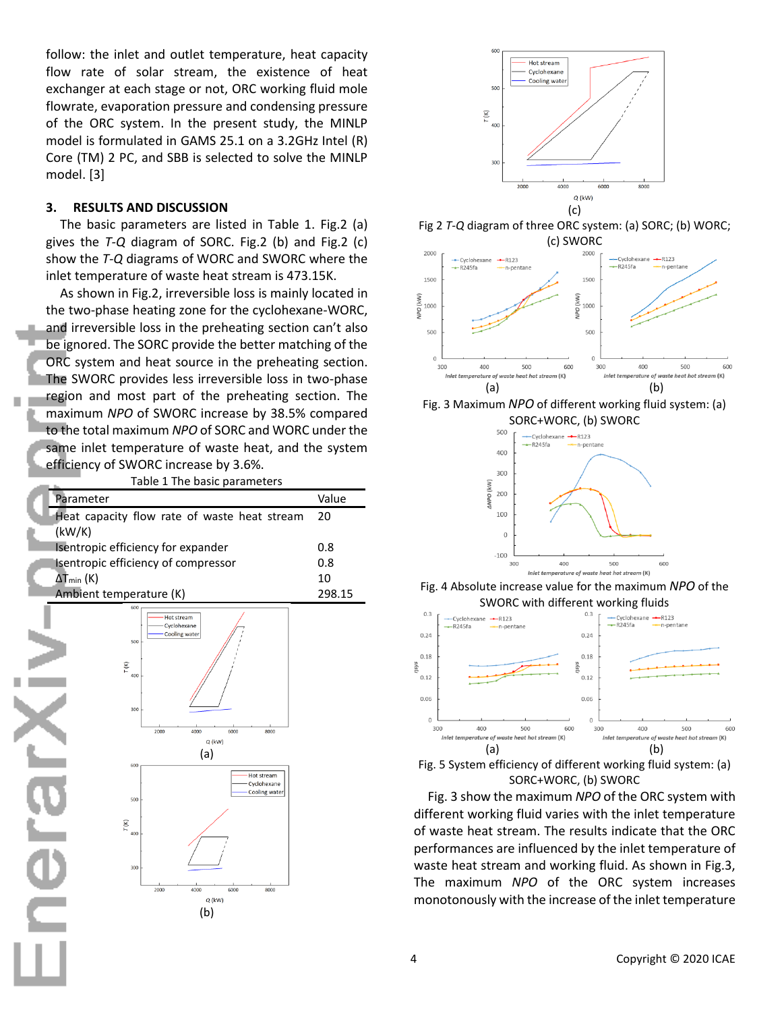follow: the inlet and outlet temperature, heat capacity flow rate of solar stream, the existence of heat exchanger at each stage or not, ORC working fluid mole flowrate, evaporation pressure and condensing pressure of the ORC system. In the present study, the MINLP model is formulated in GAMS 25.1 on a 3.2GHz Intel (R) Core (TM) 2 PC, and SBB is selected to solve the MINLP model. [3]

#### **3. RESULTS AND DISCUSSION**

The basic parameters are listed in Table 1. Fig.2 (a) gives the *T-Q* diagram of SORC. Fig.2 (b) and Fig.2 (c) show the *T-Q* diagrams of WORC and SWORC where the inlet temperature of waste heat stream is 473.15K.

As shown in Fig.2, irreversible loss is mainly located in the two-phase heating zone for the cyclohexane-WORC, and irreversible loss in the preheating section can't also be ignored. The SORC provide the better matching of the ORC system and heat source in the preheating section. The SWORC provides less irreversible loss in two-phase region and most part of the preheating section. The maximum *NPO* of SWORC increase by 38.5% compared to the total maximum *NPO* of SORC and WORC under the same inlet temperature of waste heat, and the system efficiency of SWORC increase by 3.6%.

Table 1 The basic parameters

| Parameter                                    | Value  |
|----------------------------------------------|--------|
| Heat capacity flow rate of waste heat stream | - 20   |
| (kW/K)                                       |        |
| Isentropic efficiency for expander           | 0.8    |
| Isentropic efficiency of compressor          | 0.8    |
| $\Delta T_{min}$ (K)                         | 10     |
| Ambient temperature (K)                      | 298 15 |



**Ale** 



Fig 2 *T-Q* diagram of three ORC system: (a) SORC; (b) WORC;



Fig. 3 Maximum *NPO* of different working fluid system: (a) SORC+WORC, (b) SWORC



Fig. 4 Absolute increase value for the maximum *NPO* of the SWORC with different working fluids



Fig. 5 System efficiency of different working fluid system: (a) SORC+WORC, (b) SWORC

Fig. 3 show the maximum *NPO* of the ORC system with different working fluid varies with the inlet temperature of waste heat stream. The results indicate that the ORC performances are influenced by the inlet temperature of waste heat stream and working fluid. As shown in Fig.3, The maximum *NPO* of the ORC system increases monotonously with the increase of the inlet temperature